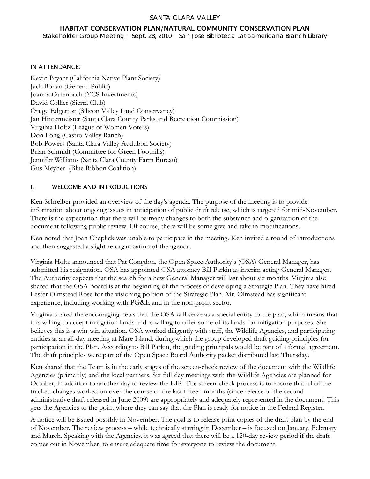#### SANTA CLARA VALLEY

# HABITAT CONSERVATION PLAN/NATURAL COMMUNITY CONSERVATION PLAN

*Stakeholder Group Meeting | Sept. 28, 2010 | San Jose Biblioteca Latioamericana Branch Library* 

#### IN ATTENDANCE:

Kevin Bryant (California Native Plant Society) Jack Bohan (General Public) Joanna Callenbach (YCS Investments) David Collier (Sierra Club) Craige Edgerton (Silicon Valley Land Conservancy) Jan Hintermeister (Santa Clara County Parks and Recreation Commission) Virginia Holtz (League of Women Voters) Don Long (Castro Valley Ranch) Bob Powers (Santa Clara Valley Audubon Society) Brian Schmidt (Committee for Green Foothills) Jennifer Williams (Santa Clara County Farm Bureau) Gus Meyner (Blue Ribbon Coalition)

### I. WELCOME AND INTRODUCTIONS

Ken Schreiber provided an overview of the day's agenda. The purpose of the meeting is to provide information about ongoing issues in anticipation of public draft release, which is targeted for mid-November. There is the expectation that there will be many changes to both the substance and organization of the document following public review. Of course, there will be some give and take in modifications.

Ken noted that Joan Chaplick was unable to participate in the meeting. Ken invited a round of introductions and then suggested a slight re-organization of the agenda.

Virginia Holtz announced that Pat Congdon, the Open Space Authority's (OSA) General Manager, has submitted his resignation. OSA has appointed OSA attorney Bill Parkin as interim acting General Manager. The Authority expects that the search for a new General Manager will last about six months. Virginia also shared that the OSA Board is at the beginning of the process of developing a Strategic Plan. They have hired Lester Olmstead Rose for the visioning portion of the Strategic Plan. Mr. Olmstead has significant experience, including working with PG&E and in the non-profit sector.

Virginia shared the encouraging news that the OSA will serve as a special entity to the plan, which means that it is willing to accept mitigation lands and is willing to offer some of its lands for mitigation purposes. She believes this is a win-win situation. OSA worked diligently with staff, the Wildlife Agencies, and participating entities at an all-day meeting at Mare Island, during which the group developed draft guiding principles for participation in the Plan. According to Bill Parkin, the guiding principals would be part of a formal agreement. The draft principles were part of the Open Space Board Authority packet distributed last Thursday.

Ken shared that the Team is in the early stages of the screen-check review of the document with the Wildlife Agencies (primarily) and the local partners. Six full-day meetings with the Wildlife Agencies are planned for October, in addition to another day to review the EIR. The screen-check process is to ensure that all of the tracked changes worked on over the course of the last fifteen months (since release of the second administrative draft released in June 2009) are appropriately and adequately represented in the document. This gets the Agencies to the point where they can say that the Plan is ready for notice in the Federal Register.

A notice will be issued possibly in November. The goal is to release print copies of the draft plan by the end of November. The review process – while technically starting in December – is focused on January, February and March. Speaking with the Agencies, it was agreed that there will be a 120-day review period if the draft comes out in November, to ensure adequate time for everyone to review the document.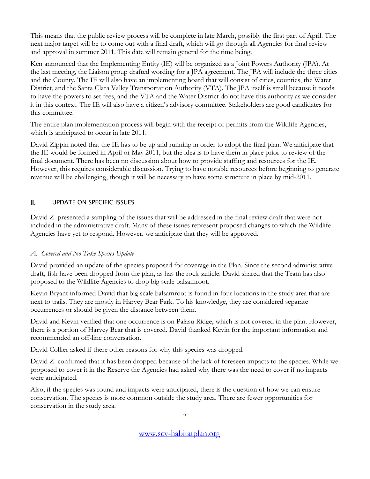This means that the public review process will be complete in late March, possibly the first part of April. The next major target will be to come out with a final draft, which will go through all Agencies for final review and approval in summer 2011. This date will remain general for the time being.

Ken announced that the Implementing Entity (IE) will be organized as a Joint Powers Authority (JPA). At the last meeting, the Liaison group drafted wording for a JPA agreement. The JPA will include the three cities and the County. The IE will also have an implementing board that will consist of cities, counties, the Water District, and the Santa Clara Valley Transportation Authority (VTA). The JPA itself is small because it needs to have the powers to set fees, and the VTA and the Water District do not have this authority as we consider it in this context. The IE will also have a citizen's advisory committee. Stakeholders are good candidates for this committee.

The entire plan implementation process will begin with the receipt of permits from the Wildlife Agencies, which is anticipated to occur in late 2011.

David Zippin noted that the IE has to be up and running in order to adopt the final plan. We anticipate that the IE would be formed in April or May 2011, but the idea is to have them in place prior to review of the final document. There has been no discussion about how to provide staffing and resources for the IE. However, this requires considerable discussion. Trying to have notable resources before beginning to generate revenue will be challenging, though it will be necessary to have some structure in place by mid-2011.

## II. UPDATE ON SPECIFIC ISSUES

David Z. presented a sampling of the issues that will be addressed in the final review draft that were not included in the administrative draft. Many of these issues represent proposed changes to which the Wildlife Agencies have yet to respond. However, we anticipate that they will be approved.

### *A. Covered and No Take Species Update*

David provided an update of the species proposed for coverage in the Plan. Since the second administrative draft, fish have been dropped from the plan, as has the rock sanicle. David shared that the Team has also proposed to the Wildlife Agencies to drop big scale balsamroot.

Kevin Bryant informed David that big scale balsamroot is found in four locations in the study area that are next to trails. They are mostly in Harvey Bear Park. To his knowledge, they are considered separate occurrences or should be given the distance between them.

David and Kevin verified that one occurrence is on Palasu Ridge, which is not covered in the plan. However, there is a portion of Harvey Bear that is covered. David thanked Kevin for the important information and recommended an off-line conversation.

David Collier asked if there other reasons for why this species was dropped.

David Z. confirmed that it has been dropped because of the lack of foreseen impacts to the species. While we proposed to cover it in the Reserve the Agencies had asked why there was the need to cover if no impacts were anticipated.

Also, if the species was found and impacts were anticipated, there is the question of how we can ensure conservation. The species is more common outside the study area. There are fewer opportunities for conservation in the study area.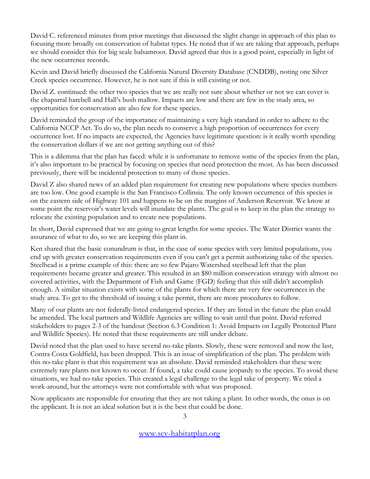David C. referenced minutes from prior meetings that discussed the slight change in approach of this plan to focusing more broadly on conservation of habitat types. He noted that if we are taking that approach, perhaps we should consider this for big scale balsamroot. David agreed that this is a good point, especially in light of the new occurrence records.

Kevin and David briefly discussed the California Natural Diversity Database (CNDDB), noting one Silver Creek species occurrence. However, he is not sure if this is still existing or not.

David Z. continued: the other two species that we are really not sure about whether or not we can cover is the chaparral harebell and Hall's bush mallow. Impacts are low and there are few in the study area, so opportunities for conservation are also few for these species.

David reminded the group of the importance of maintaining a very high standard in order to adhere to the California NCCP Act. To do so, the plan needs to conserve a high proportion of occurrences for every occurrence lost. If no impacts are expected, the Agencies have legitimate question: is it really worth spending the conservation dollars if we are not getting anything out of this?

This is a dilemma that the plan has faced: while it is unfortunate to remove some of the species from the plan, it's also important to be practical by focusing on species that need protection the most. As has been discussed previously, there will be incidental protection to many of those species.

David Z also shared news of an added plan requirement for creating new populations where species numbers are too low. One good example is the San Francisco Collinsia. The only known occurrence of this species is on the eastern side of Highway 101 and happens to be on the margins of Anderson Reservoir. We know at some point the reservoir's water levels will inundate the plants. The goal is to keep in the plan the strategy to relocate the existing population and to create new populations.

In short, David expressed that we are going to great lengths for some species. The Water District wants the assurance of what to do, so we are keeping this plant in.

Ken shared that the basic conundrum is that, in the case of some species with very limited populations, you end up with greater conservation requirements even if you can't get a permit authorizing take of the species. Steelhead is a prime example of this: there are so few Pajaro Watershed steelhead left that the plan requirements became greater and greater. This resulted in an \$80 million conservation strategy with almost no covered activities, with the Department of Fish and Game (FGD) feeling that this still didn't accomplish enough. A similar situation exists with some of the plants for which there are very few occurrences in the study area. To get to the threshold of issuing a take permit, there are more procedures to follow.

Many of our plants are not federally-listed endangered species. If they are listed in the future the plan could be amended. The local partners and Wildlife Agencies are willing to wait until that point. David referred stakeholders to pages 2-3 of the handout (Section 6.3 Condition 1: Avoid Impacts on Legally Protected Plant and Wildlife Species). He noted that these requirements are still under debate.

David noted that the plan used to have several no-take plants. Slowly, these were removed and now the last, Contra Costa Goldfield, has been dropped. This is an issue of simplification of the plan. The problem with this no-take plant is that this requirement was an absolute. David reminded stakeholders that these were extremely rare plants not known to occur. If found, a take could cause jeopardy to the species. To avoid these situations, we had no-take species. This created a legal challenge to the legal take of property. We tried a work-around, but the attorneys were not comfortable with what was proposed.

Now applicants are responsible for ensuring that they are not taking a plant. In other words, the onus is on the applicant. It is not an ideal solution but it is the best that could be done.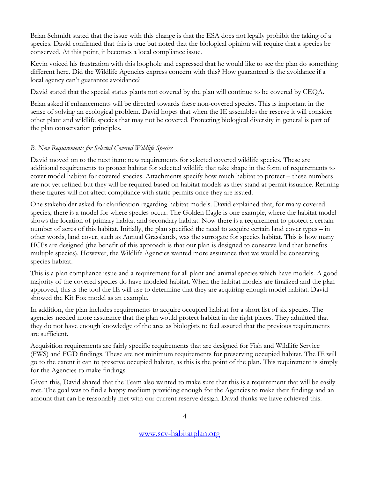Brian Schmidt stated that the issue with this change is that the ESA does not legally prohibit the taking of a species. David confirmed that this is true but noted that the biological opinion will require that a species be conserved. At this point, it becomes a local compliance issue.

Kevin voiced his frustration with this loophole and expressed that he would like to see the plan do something different here. Did the Wildlife Agencies express concern with this? How guaranteed is the avoidance if a local agency can't guarantee avoidance?

David stated that the special status plants not covered by the plan will continue to be covered by CEQA.

Brian asked if enhancements will be directed towards these non-covered species. This is important in the sense of solving an ecological problem. David hopes that when the IE assembles the reserve it will consider other plant and wildlife species that may not be covered. Protecting biological diversity in general is part of the plan conservation principles.

## *B. New Requirements for Selected Covered Wildlife Species*

David moved on to the next item: new requirements for selected covered wildlife species. These are additional requirements to protect habitat for selected wildlife that take shape in the form of requirements to cover model habitat for covered species. Attachments specify how much habitat to protect – these numbers are not yet refined but they will be required based on habitat models as they stand at permit issuance. Refining these figures will not affect compliance with static permits once they are issued.

One stakeholder asked for clarification regarding habitat models. David explained that, for many covered species, there is a model for where species occur. The Golden Eagle is one example, where the habitat model shows the location of primary habitat and secondary habitat. Now there is a requirement to protect a certain number of acres of this habitat. Initially, the plan specified the need to acquire certain land cover types – in other words, land cover, such as Annual Grasslands, was the surrogate for species habitat. This is how many HCPs are designed (the benefit of this approach is that our plan is designed to conserve land that benefits multiple species). However, the Wildlife Agencies wanted more assurance that we would be conserving species habitat.

This is a plan compliance issue and a requirement for all plant and animal species which have models. A good majority of the covered species do have modeled habitat. When the habitat models are finalized and the plan approved, this is the tool the IE will use to determine that they are acquiring enough model habitat. David showed the Kit Fox model as an example.

In addition, the plan includes requirements to acquire occupied habitat for a short list of six species. The agencies needed more assurance that the plan would protect habitat in the right places. They admitted that they do not have enough knowledge of the area as biologists to feel assured that the previous requirements are sufficient.

Acquisition requirements are fairly specific requirements that are designed for Fish and Wildlife Service (FWS) and FGD findings. These are not minimum requirements for preserving occupied habitat. The IE will go to the extent it can to preserve occupied habitat, as this is the point of the plan. This requirement is simply for the Agencies to make findings.

Given this, David shared that the Team also wanted to make sure that this is a requirement that will be easily met. The goal was to find a happy medium providing enough for the Agencies to make their findings and an amount that can be reasonably met with our current reserve design. David thinks we have achieved this.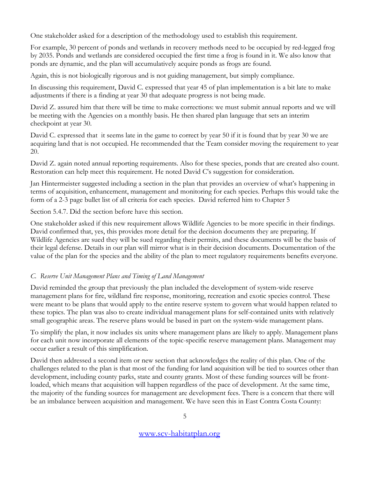One stakeholder asked for a description of the methodology used to establish this requirement.

For example, 30 percent of ponds and wetlands in recovery methods need to be occupied by red-legged frog by 2035. Ponds and wetlands are considered occupied the first time a frog is found in it. We also know that ponds are dynamic, and the plan will accumulatively acquire ponds as frogs are found.

Again, this is not biologically rigorous and is not guiding management, but simply compliance.

In discussing this requirement, David C. expressed that year 45 of plan implementation is a bit late to make adjustments if there is a finding at year 30 that adequate progress is not being made.

David Z. assured him that there will be time to make corrections: we must submit annual reports and we will be meeting with the Agencies on a monthly basis. He then shared plan language that sets an interim checkpoint at year 30.

David C. expressed that it seems late in the game to correct by year 50 if it is found that by year 30 we are acquiring land that is not occupied. He recommended that the Team consider moving the requirement to year 20.

David Z. again noted annual reporting requirements. Also for these species, ponds that are created also count. Restoration can help meet this requirement. He noted David C's suggestion for consideration.

Jan Hintermeister suggested including a section in the plan that provides an overview of what's happening in terms of acquisition, enhancement, management and monitoring for each species. Perhaps this would take the form of a 2-3 page bullet list of all criteria for each species. David referred him to Chapter 5

Section 5.4.7. Did the section before have this section.

One stakeholder asked if this new requirement allows Wildlife Agencies to be more specific in their findings. David confirmed that, yes, this provides more detail for the decision documents they are preparing. If Wildlife Agencies are sued they will be sued regarding their permits, and these documents will be the basis of their legal defense. Details in our plan will mirror what is in their decision documents. Documentation of the value of the plan for the species and the ability of the plan to meet regulatory requirements benefits everyone.

# *C. Reserve Unit Management Plans and Timing of Land Management*

David reminded the group that previously the plan included the development of system-wide reserve management plans for fire, wildland fire response, monitoring, recreation and exotic species control. These were meant to be plans that would apply to the entire reserve system to govern what would happen related to these topics. The plan was also to create individual management plans for self-contained units with relatively small geographic areas. The reserve plans would be based in part on the system-wide management plans.

To simplify the plan, it now includes six units where management plans are likely to apply. Management plans for each unit now incorporate all elements of the topic-specific reserve management plans. Management may occur earlier a result of this simplification.

David then addressed a second item or new section that acknowledges the reality of this plan. One of the challenges related to the plan is that most of the funding for land acquisition will be tied to sources other than development, including county parks, state and county grants. Most of these funding sources will be frontloaded, which means that acquisition will happen regardless of the pace of development. At the same time, the majority of the funding sources for management are development fees. There is a concern that there will be an imbalance between acquisition and management. We have seen this in East Contra Costa County: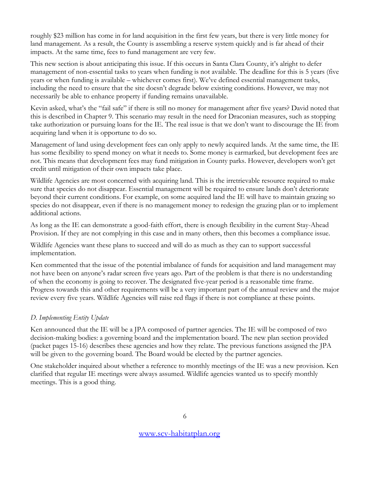roughly \$23 million has come in for land acquisition in the first few years, but there is very little money for land management. As a result, the County is assembling a reserve system quickly and is far ahead of their impacts. At the same time, fees to fund management are very few.

This new section is about anticipating this issue. If this occurs in Santa Clara County, it's alright to defer management of non-essential tasks to years when funding is not available. The deadline for this is 5 years (five years or when funding is available – whichever comes first). We've defined essential management tasks, including the need to ensure that the site doesn't degrade below existing conditions. However, we may not necessarily be able to enhance property if funding remains unavailable.

Kevin asked, what's the "fail safe" if there is still no money for management after five years? David noted that this is described in Chapter 9. This scenario may result in the need for Draconian measures, such as stopping take authorization or pursuing loans for the IE. The real issue is that we don't want to discourage the IE from acquiring land when it is opportune to do so.

Management of land using development fees can only apply to newly acquired lands. At the same time, the IE has some flexibility to spend money on what it needs to. Some money is earmarked, but development fees are not. This means that development fees may fund mitigation in County parks. However, developers won't get credit until mitigation of their own impacts take place.

Wildlife Agencies are most concerned with acquiring land. This is the irretrievable resource required to make sure that species do not disappear. Essential management will be required to ensure lands don't deteriorate beyond their current conditions. For example, on some acquired land the IE will have to maintain grazing so species do not disappear, even if there is no management money to redesign the grazing plan or to implement additional actions.

As long as the IE can demonstrate a good-faith effort, there is enough flexibility in the current Stay-Ahead Provision. If they are not complying in this case and in many others, then this becomes a compliance issue.

Wildlife Agencies want these plans to succeed and will do as much as they can to support successful implementation.

Ken commented that the issue of the potential imbalance of funds for acquisition and land management may not have been on anyone's radar screen five years ago. Part of the problem is that there is no understanding of when the economy is going to recover. The designated five-year period is a reasonable time frame. Progress towards this and other requirements will be a very important part of the annual review and the major review every five years. Wildlife Agencies will raise red flags if there is not compliance at these points.

# *D. Implementing Entity Update*

Ken announced that the IE will be a JPA composed of partner agencies. The IE will be composed of two decision-making bodies: a governing board and the implementation board. The new plan section provided (packet pages 15-16) describes these agencies and how they relate. The previous functions assigned the JPA will be given to the governing board. The Board would be elected by the partner agencies.

One stakeholder inquired about whether a reference to monthly meetings of the IE was a new provision. Ken clarified that regular IE meetings were always assumed. Wildlife agencies wanted us to specify monthly meetings. This is a good thing.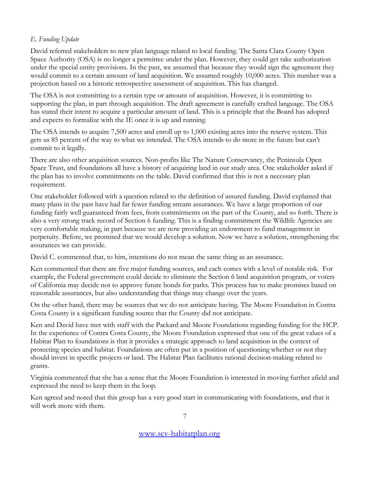# *E. Funding Update*

David referred stakeholders to new plan language related to local funding. The Santa Clara County Open Space Authority (OSA) is no longer a permittee under the plan. However, they could get take authorization under the special entity provisions. In the past, we assumed that because they would sign the agreement they would commit to a certain amount of land acquisition. We assumed roughly 10,000 acres. This number was a projection based on a historic retrospective assessment of acquisition. This has changed.

The OSA is not committing to a certain type or amount of acquisition. However, it is committing to supporting the plan, in part through acquisition. The draft agreement is carefully crafted language. The OSA has stated their intent to acquire a particular amount of land. This is a principle that the Board has adopted and expects to formalize with the IE once it is up and running.

The OSA intends to acquire 7,500 acres and enroll up to 1,000 existing acres into the reserve system. This gets us 85 percent of the way to what we intended. The OSA intends to do more in the future but can't commit to it legally.

There are also other acquisition sources. Non-profits like The Nature Conservancy, the Peninsula Open Space Trust, and foundations all have a history of acquiring land in our study area. One stakeholder asked if the plan has to involve commitments on the table. David confirmed that this is not a necessary plan requirement.

One stakeholder followed with a question related to the definition of assured funding. David explained that many plans in the past have had far fewer funding stream assurances. We have a large proportion of our funding fairly well guaranteed from fees, from commitments on the part of the County, and so forth. There is also a very strong track record of Section 6 funding. This is a finding commitment the Wildlife Agencies are very comfortable making, in part because we are now providing an endowment to fund management in perpetuity. Before, we promised that we would develop a solution. Now we have a solution, strengthening the assurances we can provide.

David C. commented that, to him, intentions do not mean the same thing as an assurance.

Ken commented that there are five major funding sources, and each comes with a level of notable risk. For example, the Federal government could decide to eliminate the Section 6 land acquisition program, or voters of California may decide not to approve future bonds for parks. This process has to make promises based on reasonable assurances, but also understanding that things may change over the years.

On the other hand, there may be sources that we do not anticipate having. The Moore Foundation in Contra Costa County is a significant funding source that the County did not anticipate.

Ken and David have met with staff with the Packard and Moore Foundations regarding funding for the HCP. In the experience of Contra Costa County, the Moore Foundation expressed that one of the great values of a Habitat Plan to foundations is that it provides a strategic approach to land acquisition in the context of protecting species and habitat. Foundations are often put in a position of questioning whether or not they should invest in specific projects or land. The Habitat Plan facilitates rational decision-making related to grants.

Virginia commented that she has a sense that the Moore Foundation is interested in moving further afield and expressed the need to keep them in the loop.

Ken agreed and noted that this group has a very good start in communicating with foundations, and that it will work more with them.

7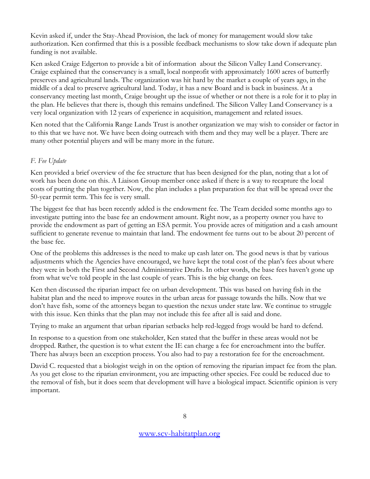Kevin asked if, under the Stay-Ahead Provision, the lack of money for management would slow take authorization. Ken confirmed that this is a possible feedback mechanisms to slow take down if adequate plan funding is not available.

Ken asked Craige Edgerton to provide a bit of information about the Silicon Valley Land Conservancy. Craige explained that the conservancy is a small, local nonprofit with approximately 1600 acres of butterfly preserves and agricultural lands. The organization was hit hard by the market a couple of years ago, in the middle of a deal to preserve agricultural land. Today, it has a new Board and is back in business. At a conservancy meeting last month, Craige brought up the issue of whether or not there is a role for it to play in the plan. He believes that there is, though this remains undefined. The Silicon Valley Land Conservancy is a very local organization with 12 years of experience in acquisition, management and related issues.

Ken noted that the California Range Lands Trust is another organization we may wish to consider or factor in to this that we have not. We have been doing outreach with them and they may well be a player. There are many other potential players and will be many more in the future.

## *F. Fee Update*

Ken provided a brief overview of the fee structure that has been designed for the plan, noting that a lot of work has been done on this. A Liaison Group member once asked if there is a way to recapture the local costs of putting the plan together. Now, the plan includes a plan preparation fee that will be spread over the 50-year permit term. This fee is very small.

The biggest fee that has been recently added is the endowment fee. The Team decided some months ago to investigate putting into the base fee an endowment amount. Right now, as a property owner you have to provide the endowment as part of getting an ESA permit. You provide acres of mitigation and a cash amount sufficient to generate revenue to maintain that land. The endowment fee turns out to be about 20 percent of the base fee.

One of the problems this addresses is the need to make up cash later on. The good news is that by various adjustments which the Agencies have encouraged, we have kept the total cost of the plan's fees about where they were in both the First and Second Administrative Drafts. In other words, the base fees haven't gone up from what we've told people in the last couple of years. This is the big change on fees.

Ken then discussed the riparian impact fee on urban development. This was based on having fish in the habitat plan and the need to improve routes in the urban areas for passage towards the hills. Now that we don't have fish, some of the attorneys began to question the nexus under state law. We continue to struggle with this issue. Ken thinks that the plan may not include this fee after all is said and done.

Trying to make an argument that urban riparian setbacks help red-legged frogs would be hard to defend.

In response to a question from one stakeholder, Ken stated that the buffer in these areas would not be dropped. Rather, the question is to what extent the IE can charge a fee for encroachment into the buffer. There has always been an exception process. You also had to pay a restoration fee for the encroachment.

David C. requested that a biologist weigh in on the option of removing the riparian impact fee from the plan. As you get close to the riparian environment, you are impacting other species. Fee could be reduced due to the removal of fish, but it does seem that development will have a biological impact. Scientific opinion is very important.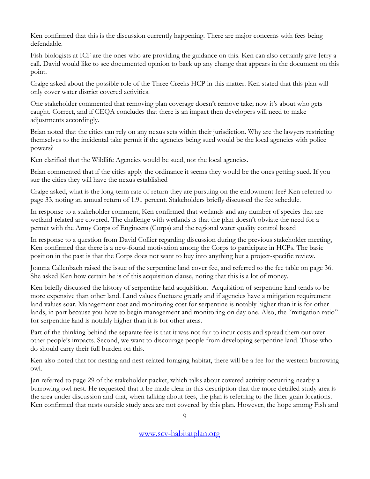Ken confirmed that this is the discussion currently happening. There are major concerns with fees being defendable.

Fish biologists at ICF are the ones who are providing the guidance on this. Ken can also certainly give Jerry a call. David would like to see documented opinion to back up any change that appears in the document on this point.

Craige asked about the possible role of the Three Creeks HCP in this matter. Ken stated that this plan will only cover water district covered activities.

One stakeholder commented that removing plan coverage doesn't remove take; now it's about who gets caught. Correct, and if CEQA concludes that there is an impact then developers will need to make adjustments accordingly.

Brian noted that the cities can rely on any nexus sets within their jurisdiction. Why are the lawyers restricting themselves to the incidental take permit if the agencies being sued would be the local agencies with police powers?

Ken clarified that the Wildlife Agencies would be sued, not the local agencies.

Brian commented that if the cities apply the ordinance it seems they would be the ones getting sued. If you sue the cities they will have the nexus established

Craige asked, what is the long-term rate of return they are pursuing on the endowment fee? Ken referred to page 33, noting an annual return of 1.91 percent. Stakeholders briefly discussed the fee schedule.

In response to a stakeholder comment, Ken confirmed that wetlands and any number of species that are wetland-related are covered. The challenge with wetlands is that the plan doesn't obviate the need for a permit with the Army Corps of Engineers (Corps) and the regional water quality control board

In response to a question from David Collier regarding discussion during the previous stakeholder meeting, Ken confirmed that there is a new-found motivation among the Corps to participate in HCPs. The basic position in the past is that the Corps does not want to buy into anything but a project-specific review.

Joanna Callenbach raised the issue of the serpentine land cover fee, and referred to the fee table on page 36. She asked Ken how certain he is of this acquisition clause, noting that this is a lot of money.

Ken briefly discussed the history of serpentine land acquisition. Acquisition of serpentine land tends to be more expensive than other land. Land values fluctuate greatly and if agencies have a mitigation requirement land values soar. Management cost and monitoring cost for serpentine is notably higher than it is for other lands, in part because you have to begin management and monitoring on day one. Also, the "mitigation ratio" for serpentine land is notably higher than it is for other areas.

Part of the thinking behind the separate fee is that it was not fair to incur costs and spread them out over other people's impacts. Second, we want to discourage people from developing serpentine land. Those who do should carry their full burden on this.

Ken also noted that for nesting and nest-related foraging habitat, there will be a fee for the western burrowing owl.

Jan referred to page 29 of the stakeholder packet, which talks about covered activity occurring nearby a burrowing owl nest. He requested that it be made clear in this description that the more detailed study area is the area under discussion and that, when talking about fees, the plan is referring to the finer-grain locations. Ken confirmed that nests outside study area are not covered by this plan. However, the hope among Fish and